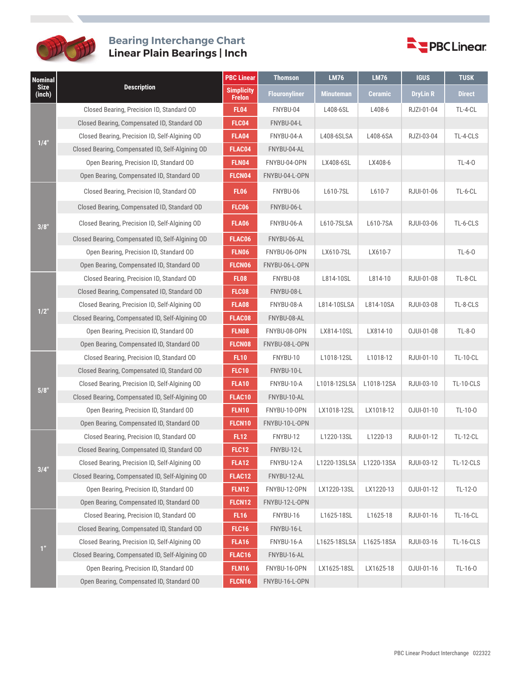

## **Bearing Interchange Chart Linear Plain Bearings | Inch**



| <b>Nominal</b><br><b>Size</b><br>(inch) | <b>Description</b>                               | <b>PBC Linear</b>           | <b>Thomson</b>       | <b>LM76</b>      | <b>LM76</b> | <b>IGUS</b>     | <b>TUSK</b>      |
|-----------------------------------------|--------------------------------------------------|-----------------------------|----------------------|------------------|-------------|-----------------|------------------|
|                                         |                                                  | <b>Simplicity</b><br>Frelon | <b>Flouronyliner</b> | <b>Minuteman</b> | Ceramic     | <b>DryLin R</b> | <b>Direct</b>    |
| 1/4"                                    | Closed Bearing, Precision ID, Standard OD        | <b>FL04</b>                 | FNYBU-04             | L408-6SL         | L408-6      | RJZI-01-04      | TL-4-CL          |
|                                         | Closed Bearing, Compensated ID, Standard OD      | FLC04                       | FNYBU-04-L           |                  |             |                 |                  |
|                                         | Closed Bearing, Precision ID, Self-Algining OD   | <b>FLA04</b>                | FNYBU-04-A           | L408-6SLSA       | L408-6SA    | RJZI-03-04      | TL-4-CLS         |
|                                         | Closed Bearing, Compensated ID, Self-Algining OD | FLAC04                      | FNYBU-04-AL          |                  |             |                 |                  |
|                                         | Open Bearing, Precision ID, Standard OD          | <b>FLN04</b>                | FNYBU-04-OPN         | LX408-6SL        | LX408-6     |                 | $TL-4-0$         |
|                                         | Open Bearing, Compensated ID, Standard OD        | <b>FLCN04</b>               | FNYBU-04-L-OPN       |                  |             |                 |                  |
|                                         | Closed Bearing, Precision ID, Standard OD        | <b>FL06</b>                 | FNYBU-06             | L610-7SL         | L610-7      | RJUI-01-06      | TL-6-CL          |
|                                         | Closed Bearing, Compensated ID, Standard OD      | <b>FLC06</b>                | FNYBU-06-L           |                  |             |                 |                  |
| 3/8"                                    | Closed Bearing, Precision ID, Self-Algining OD   | <b>FLA06</b>                | FNYBU-06-A           | L610-7SLSA       | L610-7SA    | RJUI-03-06      | TL-6-CLS         |
|                                         | Closed Bearing, Compensated ID, Self-Algining OD | FLAC06                      | FNYBU-06-AL          |                  |             |                 |                  |
|                                         | Open Bearing, Precision ID, Standard OD          | <b>FLN06</b>                | FNYBU-06-OPN         | LX610-7SL        | LX610-7     |                 | $TL-6-0$         |
|                                         | Open Bearing, Compensated ID, Standard OD        | <b>FLCN06</b>               | FNYBU-06-L-OPN       |                  |             |                 |                  |
|                                         | Closed Bearing, Precision ID, Standard OD        | <b>FL08</b>                 | FNYBU-08             | L814-10SL        | L814-10     | RJUI-01-08      | TL-8-CL          |
|                                         | Closed Bearing, Compensated ID, Standard OD      | <b>FLC08</b>                | FNYBU-08-L           |                  |             |                 |                  |
| 1/2"                                    | Closed Bearing, Precision ID, Self-Algining OD   | <b>FLA08</b>                | FNYBU-08-A           | L814-10SLSA      | L814-10SA   | RJUI-03-08      | TL-8-CLS         |
|                                         | Closed Bearing, Compensated ID, Self-Algining OD | FLAC08                      | FNYBU-08-AL          |                  |             |                 |                  |
|                                         | Open Bearing, Precision ID, Standard OD          | <b>FLN08</b>                | FNYBU-08-OPN         | LX814-10SL       | LX814-10    | OJUI-01-08      | $TL-8-0$         |
|                                         | Open Bearing, Compensated ID, Standard OD        | <b>FLCN08</b>               | FNYBU-08-L-OPN       |                  |             |                 |                  |
|                                         | Closed Bearing, Precision ID, Standard OD        | <b>FL10</b>                 | FNYBU-10             | L1018-12SL       | L1018-12    | RJUI-01-10      | <b>TL-10-CL</b>  |
|                                         | Closed Bearing, Compensated ID, Standard OD      | <b>FLC10</b>                | FNYBU-10-L           |                  |             |                 |                  |
| 5/8"                                    | Closed Bearing, Precision ID, Self-Algining OD   | <b>FLA10</b>                | FNYBU-10-A           | L1018-12SLSA     | L1018-12SA  | RJUI-03-10      | <b>TL-10-CLS</b> |
|                                         | Closed Bearing, Compensated ID, Self-Algining OD | FLAC10                      | FNYBU-10-AL          |                  |             |                 |                  |
|                                         | Open Bearing, Precision ID, Standard OD          | <b>FLN10</b>                | FNYBU-10-OPN         | LX1018-12SL      | LX1018-12   | OJUI-01-10      | TL-10-0          |
|                                         | Open Bearing, Compensated ID, Standard OD        | FLCN10                      | FNYBU-10-L-OPN       |                  |             |                 |                  |
|                                         | Closed Bearing, Precision ID, Standard OD        | <b>FL12</b>                 | FNYBU-12             | L1220-13SL       | L1220-13    | RJUI-01-12      | <b>TL-12-CL</b>  |
|                                         | Closed Bearing, Compensated ID, Standard OD      | <b>FLC12</b>                | FNYBU-12-L           |                  |             |                 |                  |
| 3/4"                                    | Closed Bearing, Precision ID, Self-Algining OD   | <b>FLA12</b>                | FNYBU-12-A           | L1220-13SLSA     | L1220-13SA  | RJUI-03-12      | <b>TL-12-CLS</b> |
|                                         | Closed Bearing, Compensated ID, Self-Algining OD | FLAC12                      | FNYBU-12-AL          |                  |             |                 |                  |
|                                         | Open Bearing, Precision ID, Standard OD          | <b>FLN12</b>                | FNYBU-12-OPN         | LX1220-13SL      | LX1220-13   | OJUI-01-12      | TL-12-0          |
|                                         | Open Bearing, Compensated ID, Standard OD        | FLCN12                      | FNYBU-12-L-OPN       |                  |             |                 |                  |
| 1 <sup>n</sup>                          | Closed Bearing, Precision ID, Standard OD        | <b>FL16</b>                 | FNYBU-16             | L1625-18SL       | L1625-18    | RJUI-01-16      | <b>TL-16-CL</b>  |
|                                         | Closed Bearing, Compensated ID, Standard OD      | <b>FLC16</b>                | FNYBU-16-L           |                  |             |                 |                  |
|                                         | Closed Bearing, Precision ID, Self-Algining OD   | <b>FLA16</b>                | FNYBU-16-A           | L1625-18SLSA     | L1625-18SA  | RJUI-03-16      | <b>TL-16-CLS</b> |
|                                         | Closed Bearing, Compensated ID, Self-Algining OD | FLAC16                      | FNYBU-16-AL          |                  |             |                 |                  |
|                                         | Open Bearing, Precision ID, Standard OD          | <b>FLN16</b>                | FNYBU-16-OPN         | LX1625-18SL      | LX1625-18   | OJUI-01-16      | TL-16-0          |
|                                         | Open Bearing, Compensated ID, Standard OD        | FLCN16                      | FNYBU-16-L-OPN       |                  |             |                 |                  |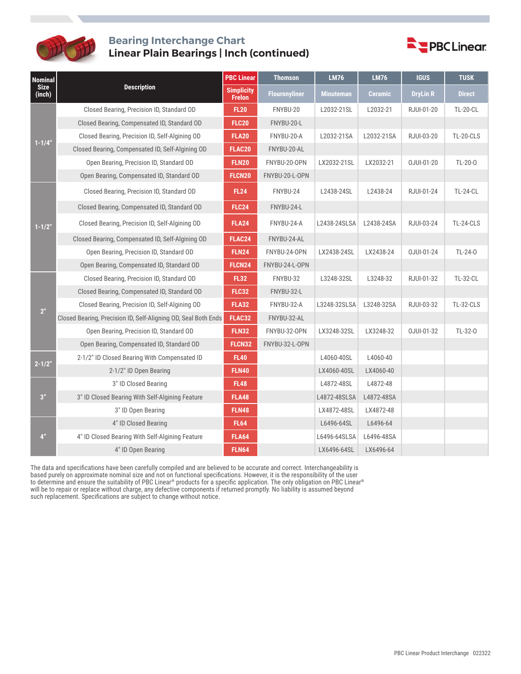

## **Bearing Interchange Chart Linear Plain Bearings | Inch (continued)**



| <b>Nominal</b><br><b>Size</b><br>(inch) |                                                                | <b>PBC Linear</b>                  | <b>Thomson</b>       | <b>LM76</b>      | <b>LM76</b>    | <b>IGUS</b>     | <b>TUSK</b>     |
|-----------------------------------------|----------------------------------------------------------------|------------------------------------|----------------------|------------------|----------------|-----------------|-----------------|
|                                         | <b>Description</b>                                             | <b>Simplicity</b><br><b>Frelon</b> | <b>Flouronyliner</b> | <b>Minuteman</b> | <b>Ceramic</b> | <b>DryLin R</b> | <b>Direct</b>   |
|                                         | Closed Bearing, Precision ID, Standard OD                      | <b>FL20</b>                        | FNYBU-20             | L2032-21SL       | L2032-21       | RJUI-01-20      | <b>TL-20-CL</b> |
|                                         | Closed Bearing, Compensated ID, Standard OD                    | <b>FLC20</b>                       | FNYBU-20-L           |                  |                |                 |                 |
| $1 - 1/4"$                              | Closed Bearing, Precision ID, Self-Algining OD                 | <b>FLA20</b>                       | FNYBU-20-A           | L2032-21SA       | L2032-21SA     | RJUI-03-20      | TL-20-CLS       |
|                                         | Closed Bearing, Compensated ID, Self-Algining OD               | <b>FLAC20</b>                      | FNYBU-20-AL          |                  |                |                 |                 |
|                                         | Open Bearing, Precision ID, Standard OD                        | <b>FLN20</b>                       | FNYBU-20-OPN         | LX2032-21SL      | LX2032-21      | OJUI-01-20      | TL-20-0         |
|                                         | Open Bearing, Compensated ID, Standard OD                      | FLCN20                             | FNYBU-20-L-OPN       |                  |                |                 |                 |
|                                         | Closed Bearing, Precision ID, Standard OD                      | <b>FL24</b>                        | FNYBU-24             | L2438-24SL       | L2438-24       | RJUI-01-24      | <b>TL-24-CL</b> |
|                                         | Closed Bearing, Compensated ID, Standard OD                    | <b>FLC24</b>                       | FNYBU-24-L           |                  |                |                 |                 |
| $1 - 1/2"$                              | Closed Bearing, Precision ID, Self-Algining OD                 | <b>FLA24</b>                       | FNYBU-24-A           | L2438-24SLSA     | L2438-24SA     | RJUI-03-24      | TL-24-CLS       |
|                                         | Closed Bearing, Compensated ID, Self-Algining OD               | FLAC24                             | FNYBU-24-AL          |                  |                |                 |                 |
|                                         | Open Bearing, Precision ID, Standard OD                        | <b>FLN24</b>                       | FNYBU-24-OPN         | LX2438-24SL      | LX2438-24      | OJUI-01-24      | TL-24-0         |
|                                         | Open Bearing, Compensated ID, Standard OD                      | FLCN24                             | FNYBU-24-L-OPN       |                  |                |                 |                 |
|                                         | Closed Bearing, Precision ID, Standard OD                      | <b>FL32</b>                        | FNYBU-32             | L3248-32SL       | L3248-32       | RJUI-01-32      | <b>TL-32-CL</b> |
|                                         | Closed Bearing, Compensated ID, Standard OD                    | <b>FLC32</b>                       | FNYBU-32-L           |                  |                |                 |                 |
| 2 <sup>n</sup>                          | Closed Bearing, Precision ID, Self-Algining OD                 | <b>FLA32</b>                       | FNYBU-32-A           | L3248-32SLSA     | L3248-32SA     | RJUI-03-32      | TL-32-CLS       |
|                                         | Closed Bearing, Precision ID, Self-Aligning OD, Seal Both Ends | FLAC32                             | FNYBU-32-AL          |                  |                |                 |                 |
|                                         | Open Bearing, Precision ID, Standard OD                        | <b>FLN32</b>                       | FNYBU-32-OPN         | LX3248-32SL      | LX3248-32      | OJUI-01-32      | TL-32-0         |
|                                         | Open Bearing, Compensated ID, Standard OD                      | FLCN32                             | FNYBU-32-L-OPN       |                  |                |                 |                 |
| $2 - 1/2"$                              | 2-1/2" ID Closed Bearing With Compensated ID                   | <b>FL40</b>                        |                      | L4060-40SL       | L4060-40       |                 |                 |
|                                         | 2-1/2" ID Open Bearing                                         | <b>FLN40</b>                       |                      | LX4060-40SL      | LX4060-40      |                 |                 |
| 3"                                      | 3" ID Closed Bearing                                           | <b>FL48</b>                        |                      | L4872-48SL       | L4872-48       |                 |                 |
|                                         | 3" ID Closed Bearing With Self-Algining Feature                | <b>FLA48</b>                       |                      | L4872-48SLSA     | L4872-48SA     |                 |                 |
|                                         | 3" ID Open Bearing                                             | <b>FLN48</b>                       |                      | LX4872-48SL      | LX4872-48      |                 |                 |
| 4"                                      | 4" ID Closed Bearing                                           | <b>FL64</b>                        |                      | L6496-64SL       | L6496-64       |                 |                 |
|                                         | 4" ID Closed Bearing With Self-Algining Feature                | <b>FLA64</b>                       |                      | L6496-64SLSA     | L6496-48SA     |                 |                 |
|                                         | 4" ID Open Bearing                                             | <b>FLN64</b>                       |                      | LX6496-64SL      | LX6496-64      |                 |                 |

The data and specifications have been carefully compiled and are believed to be accurate and correct. Interchangeability is based purely on approximate nominal size and not on functional specifications. However, it is the responsibility of the user to determine and ensure the suitability of PBC Linear® products for a specific application. The only obligation on PBC Linear® will be to repair or replace without charge, any defective components if returned promptly. No liability is assumed beyond such replacement. Specifications are subject to change without notice.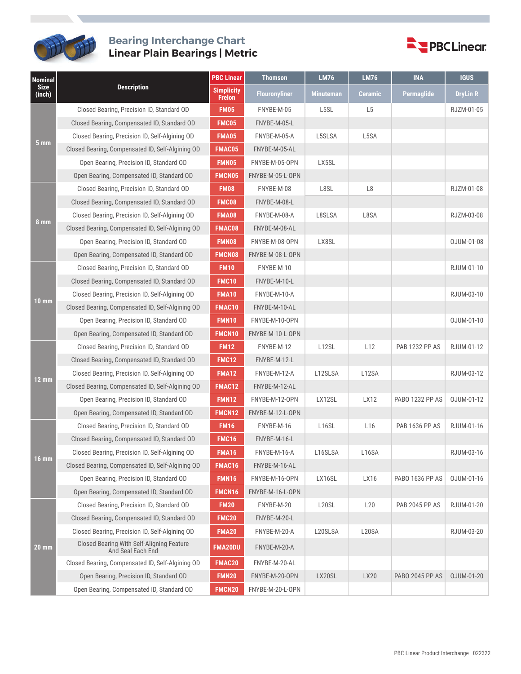

## **Bearing Interchange Chart Linear Plain Bearings | Metric**



| <b>Nominal</b><br><b>Size</b><br>(inch) | <b>Description</b>                                             | <b>PBC Linear</b>                  | <b>Thomson</b>       | <b>LM76</b>        | <b>LM76</b>     | <b>INA</b>             | <b>IGUS</b>     |
|-----------------------------------------|----------------------------------------------------------------|------------------------------------|----------------------|--------------------|-----------------|------------------------|-----------------|
|                                         |                                                                | <b>Simplicity</b><br><b>Frelon</b> | <b>Flouronyliner</b> | <b>Minuteman</b>   | <b>Ceramic</b>  | Permaglide             | <b>DryLin R</b> |
| 5 <sub>mm</sub>                         | Closed Bearing, Precision ID, Standard OD                      | <b>FM05</b>                        | FNYBE-M-05           | L5SL               | L <sub>5</sub>  |                        | RJZM-01-05      |
|                                         | Closed Bearing, Compensated ID, Standard OD                    | FMC05                              | FNYBE-M-05-L         |                    |                 |                        |                 |
|                                         | Closed Bearing, Precision ID, Self-Algining OD                 | <b>FMA05</b>                       | FNYBE-M-05-A         | L5SLSA             | L5SA            |                        |                 |
|                                         | Closed Bearing, Compensated ID, Self-Algining OD               | <b>FMAC05</b>                      | FNYBE-M-05-AL        |                    |                 |                        |                 |
|                                         | Open Bearing, Precision ID, Standard OD                        | <b>FMN05</b>                       | FNYBE-M-05-OPN       | LX5SL              |                 |                        |                 |
|                                         | Open Bearing, Compensated ID, Standard OD                      | <b>FMCN05</b>                      | FNYBE-M-05-L-OPN     |                    |                 |                        |                 |
|                                         | Closed Bearing, Precision ID, Standard OD                      | <b>FM08</b>                        | FNYBE-M-08           | L8SL               | L8              |                        | RJZM-01-08      |
|                                         | Closed Bearing, Compensated ID, Standard OD                    | <b>FMC08</b>                       | FNYBE-M-08-L         |                    |                 |                        |                 |
|                                         | Closed Bearing, Precision ID, Self-Algining OD                 | FMA08                              | FNYBE-M-08-A         | L8SLSA             | L8SA            |                        | RJZM-03-08      |
| 8 mm                                    | Closed Bearing, Compensated ID, Self-Algining OD               | <b>FMAC08</b>                      | FNYBE-M-08-AL        |                    |                 |                        |                 |
|                                         | Open Bearing, Precision ID, Standard OD                        | <b>FMN08</b>                       | FNYBE-M-08-OPN       | LX8SL              |                 |                        | OJUM-01-08      |
|                                         | Open Bearing, Compensated ID, Standard OD                      | <b>FMCN08</b>                      | FNYBE-M-08-L-OPN     |                    |                 |                        |                 |
|                                         | Closed Bearing, Precision ID, Standard OD                      | <b>FM10</b>                        | FNYBE-M-10           |                    |                 |                        | RJUM-01-10      |
|                                         | Closed Bearing, Compensated ID, Standard OD                    | FMC10                              | FNYBE-M-10-L         |                    |                 |                        |                 |
| 10 mm                                   | Closed Bearing, Precision ID, Self-Algining OD                 | <b>FMA10</b>                       | FNYBE-M-10-A         |                    |                 |                        | RJUM-03-10      |
|                                         | Closed Bearing, Compensated ID, Self-Algining OD               | <b>FMAC10</b>                      | FNYBE-M-10-AL        |                    |                 |                        |                 |
|                                         | Open Bearing, Precision ID, Standard OD                        | <b>FMN10</b>                       | FNYBE-M-10-OPN       |                    |                 |                        | OJUM-01-10      |
|                                         | Open Bearing, Compensated ID, Standard OD                      | <b>FMCN10</b>                      | FNYBE-M-10-L-OPN     |                    |                 |                        |                 |
|                                         | Closed Bearing, Precision ID, Standard OD                      | <b>FM12</b>                        | FNYBE-M-12           | L12SL              | L12             | <b>PAB 1232 PP AS</b>  | RJUM-01-12      |
|                                         | Closed Bearing, Compensated ID, Standard OD                    | <b>FMC12</b>                       | FNYBE-M-12-L         |                    |                 |                        |                 |
|                                         | Closed Bearing, Precision ID, Self-Algining OD                 | <b>FMA12</b>                       | FNYBE-M-12-A         | L12SLSA            | L12SA           |                        | RJUM-03-12      |
| $12 \text{ mm}$                         | Closed Bearing, Compensated ID, Self-Algining OD               | FMAC12                             | FNYBE-M-12-AL        |                    |                 |                        |                 |
|                                         | Open Bearing, Precision ID, Standard OD                        | <b>FMN12</b>                       | FNYBE-M-12-OPN       | LX12SL             | LX12            | PABO 1232 PP AS        | OJUM-01-12      |
|                                         | Open Bearing, Compensated ID, Standard OD                      | FMCN12                             | FNYBE-M-12-L-OPN     |                    |                 |                        |                 |
|                                         | Closed Bearing, Precision ID, Standard OD                      | <b>FM16</b>                        | FNYBE-M-16           | L <sub>16</sub> SL | L <sub>16</sub> | <b>PAB 1636 PP AS</b>  | RJUM-01-16      |
|                                         | Closed Bearing, Compensated ID, Standard OD                    | FMC16                              | FNYBE-M-16-L         |                    |                 |                        |                 |
|                                         | Closed Bearing, Precision ID, Self-Algining OD                 | <b>FMA16</b>                       | FNYBE-M-16-A         | L16SLSA            | L16SA           |                        | RJUM-03-16      |
| 16 mm                                   | Closed Bearing, Compensated ID, Self-Algining OD               | FMAC16                             | FNYBE-M-16-AL        |                    |                 |                        |                 |
|                                         | Open Bearing, Precision ID, Standard OD                        | <b>FMN16</b>                       | FNYBE-M-16-OPN       | LX16SL             | LX16            | PABO 1636 PP AS        | OJUM-01-16      |
|                                         | Open Bearing, Compensated ID, Standard OD                      | <b>FMCN16</b>                      | FNYBE-M-16-L-OPN     |                    |                 |                        |                 |
| 20 mm                                   | Closed Bearing, Precision ID, Standard OD                      | <b>FM20</b>                        | FNYBE-M-20           | L <sub>20</sub> SL | L20             | <b>PAB 2045 PP AS</b>  | RJUM-01-20      |
|                                         | Closed Bearing, Compensated ID, Standard OD                    | <b>FMC20</b>                       | FNYBE-M-20-L         |                    |                 |                        |                 |
|                                         | Closed Bearing, Precision ID, Self-Algining OD                 | FMA20                              | FNYBE-M-20-A         | L20SLSA            | L20SA           |                        | RJUM-03-20      |
|                                         | Closed Bearing With Self-Aligning Feature<br>And Seal Each End | <b>FMA20DU</b>                     | FNYBE-M-20-A         |                    |                 |                        |                 |
|                                         | Closed Bearing, Compensated ID, Self-Algining OD               | FMAC20                             | FNYBE-M-20-AL        |                    |                 |                        |                 |
|                                         | Open Bearing, Precision ID, Standard OD                        | <b>FMN20</b>                       | FNYBE-M-20-OPN       | LX20SL             | LX20            | <b>PABO 2045 PP AS</b> | OJUM-01-20      |
|                                         | Open Bearing, Compensated ID, Standard OD                      | FMCN20                             | FNYBE-M-20-L-OPN     |                    |                 |                        |                 |